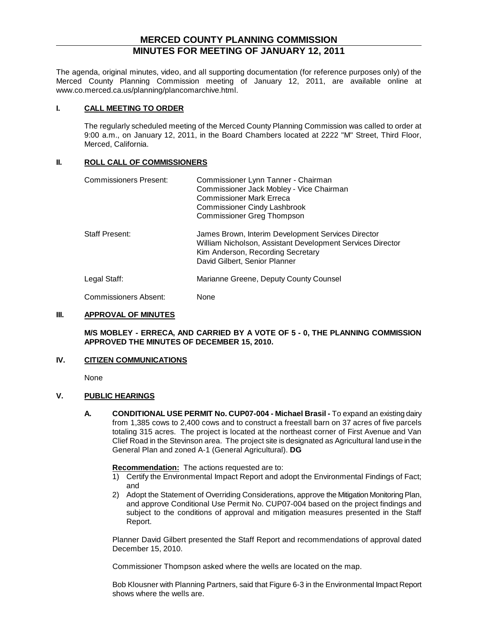# **MERCED COUNTY PLANNING COMMISSION MINUTES FOR MEETING OF JANUARY 12, 2011**

The agenda, original minutes, video, and all supporting documentation (for reference purposes only) of the Merced County Planning Commission meeting of January 12, 2011, are available online at www.co.merced.ca.us/planning/plancomarchive.html.

#### **I. CALL MEETING TO ORDER**

The regularly scheduled meeting of the Merced County Planning Commission was called to order at 9:00 a.m., on January 12, 2011, in the Board Chambers located at 2222 "M" Street, Third Floor, Merced, California.

### **II. ROLL CALL OF COMMISSIONERS**

| Commissioners Present: | Commissioner Lynn Tanner - Chairman<br>Commissioner Jack Mobley - Vice Chairman<br><b>Commissioner Mark Erreca</b><br><b>Commissioner Cindy Lashbrook</b><br><b>Commissioner Greg Thompson</b> |
|------------------------|------------------------------------------------------------------------------------------------------------------------------------------------------------------------------------------------|
| Staff Present:         | James Brown, Interim Development Services Director<br>William Nicholson, Assistant Development Services Director<br>Kim Anderson, Recording Secretary<br>David Gilbert, Senior Planner         |
| Legal Staff:           | Marianne Greene, Deputy County Counsel                                                                                                                                                         |

Commissioners Absent: None

## **III. APPROVAL OF MINUTES**

**M/S MOBLEY - ERRECA, AND CARRIED BY A VOTE OF 5 - 0, THE PLANNING COMMISSION APPROVED THE MINUTES OF DECEMBER 15, 2010.**

## **IV. CITIZEN COMMUNICATIONS**

None

### **V. PUBLIC HEARINGS**

**A. CONDITIONAL USE PERMIT No. CUP07-004 - Michael Brasil -** To expand an existing dairy from 1,385 cows to 2,400 cows and to construct a freestall barn on 37 acres of five parcels totaling 315 acres. The project is located at the northeast corner of First Avenue and Van Clief Road in the Stevinson area. The project site is designated as Agricultural land use in the General Plan and zoned A-1 (General Agricultural). **DG**

#### **Recommendation:** The actions requested are to:

- 1) Certify the Environmental Impact Report and adopt the Environmental Findings of Fact; and
- 2) Adopt the Statement of Overriding Considerations, approve the Mitigation Monitoring Plan, and approve Conditional Use Permit No. CUP07-004 based on the project findings and subject to the conditions of approval and mitigation measures presented in the Staff Report.

Planner David Gilbert presented the Staff Report and recommendations of approval dated December 15, 2010.

Commissioner Thompson asked where the wells are located on the map.

Bob Klousner with Planning Partners, said that Figure 6-3 in the Environmental Impact Report shows where the wells are.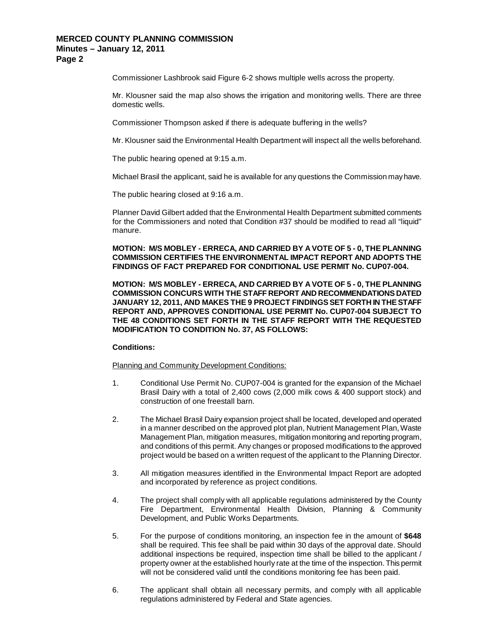**Page 2**

Commissioner Lashbrook said Figure 6-2 shows multiple wells across the property.

Mr. Klousner said the map also shows the irrigation and monitoring wells. There are three domestic wells.

Commissioner Thompson asked if there is adequate buffering in the wells?

Mr. Klousner said the Environmental Health Department will inspect all the wells beforehand.

The public hearing opened at 9:15 a.m.

Michael Brasil the applicant, said he is available for any questions the Commission may have.

The public hearing closed at 9:16 a.m.

Planner David Gilbert added that the Environmental Health Department submitted comments for the Commissioners and noted that Condition #37 should be modified to read all "liquid" manure.

## **MOTION: M/S MOBLEY - ERRECA, AND CARRIED BY A VOTE OF 5 - 0, THE PLANNING COMMISSION CERTIFIES THE ENVIRONMENTAL IMPACT REPORT AND ADOPTS THE FINDINGS OF FACT PREPARED FOR CONDITIONAL USE PERMIT No. CUP07-004.**

**MOTION: M/S MOBLEY - ERRECA, AND CARRIED BY A VOTE OF 5 - 0, THE PLANNING COMMISSION CONCURS WITH THE STAFF REPORT AND RECOMMENDATIONS DATED JANUARY 12, 2011, AND MAKES THE 9 PROJECT FINDINGS SET FORTH IN THE STAFF REPORT AND, APPROVES CONDITIONAL USE PERMIT No. CUP07-004 SUBJECT TO THE 48 CONDITIONS SET FORTH IN THE STAFF REPORT WITH THE REQUESTED MODIFICATION TO CONDITION No. 37, AS FOLLOWS:**

### **Conditions:**

Planning and Community Development Conditions:

- 1. Conditional Use Permit No. CUP07-004 is granted for the expansion of the Michael Brasil Dairy with a total of 2,400 cows (2,000 milk cows & 400 support stock) and construction of one freestall barn.
- 2. The Michael Brasil Dairy expansion project shall be located, developed and operated in a manner described on the approved plot plan, Nutrient Management Plan, Waste Management Plan, mitigation measures, mitigation monitoring and reporting program, and conditions of this permit. Any changes or proposed modifications to the approved project would be based on a written request of the applicant to the Planning Director.
- 3. All mitigation measures identified in the Environmental Impact Report are adopted and incorporated by reference as project conditions.
- 4. The project shall comply with all applicable regulations administered by the County Fire Department, Environmental Health Division, Planning & Community Development, and Public Works Departments.
- 5. For the purpose of conditions monitoring, an inspection fee in the amount of **\$648** shall be required. This fee shall be paid within 30 days of the approval date. Should additional inspections be required, inspection time shall be billed to the applicant / property owner at the established hourly rate at the time of the inspection. This permit will not be considered valid until the conditions monitoring fee has been paid.
- 6. The applicant shall obtain all necessary permits, and comply with all applicable regulations administered by Federal and State agencies.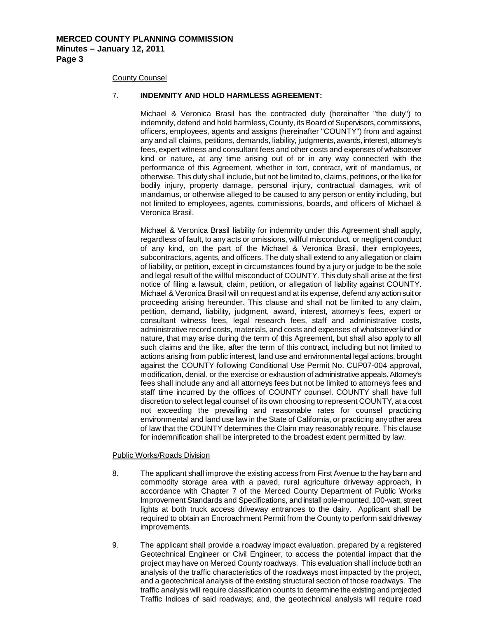#### County Counsel

#### 7. **INDEMNITY AND HOLD HARMLESS AGREEMENT:**

Michael & Veronica Brasil has the contracted duty (hereinafter "the duty") to indemnify, defend and hold harmless, County, its Board of Supervisors, commissions, officers, employees, agents and assigns (hereinafter "COUNTY") from and against any and all claims, petitions, demands, liability, judgments, awards, interest, attorney's fees, expert witness and consultant fees and other costs and expenses of whatsoever kind or nature, at any time arising out of or in any way connected with the performance of this Agreement, whether in tort, contract, writ of mandamus, or otherwise. This duty shall include, but not be limited to, claims, petitions, or the like for bodily injury, property damage, personal injury, contractual damages, writ of mandamus, or otherwise alleged to be caused to any person or entity including, but not limited to employees, agents, commissions, boards, and officers of Michael & Veronica Brasil.

Michael & Veronica Brasil liability for indemnity under this Agreement shall apply, regardless of fault, to any acts or omissions, willful misconduct, or negligent conduct of any kind, on the part of the Michael & Veronica Brasil, their employees, subcontractors, agents, and officers. The duty shall extend to any allegation or claim of liability, or petition, except in circumstances found by a jury or judge to be the sole and legal result of the willful misconduct of COUNTY. This duty shall arise at the first notice of filing a lawsuit, claim, petition, or allegation of liability against COUNTY. Michael & Veronica Brasil will on request and at its expense, defend any action suit or proceeding arising hereunder. This clause and shall not be limited to any claim, petition, demand, liability, judgment, award, interest, attorney's fees, expert or consultant witness fees, legal research fees, staff and administrative costs, administrative record costs, materials, and costs and expenses of whatsoever kind or nature, that may arise during the term of this Agreement, but shall also apply to all such claims and the like, after the term of this contract, including but not limited to actions arising from public interest, land use and environmental legal actions, brought against the COUNTY following Conditional Use Permit No. CUP07-004 approval, modification, denial, or the exercise or exhaustion of administrative appeals. Attorney's fees shall include any and all attorneys fees but not be limited to attorneys fees and staff time incurred by the offices of COUNTY counsel. COUNTY shall have full discretion to select legal counsel of its own choosing to represent COUNTY, at a cost not exceeding the prevailing and reasonable rates for counsel practicing environmental and land use law in the State of California, or practicing any other area of law that the COUNTY determines the Claim may reasonably require. This clause for indemnification shall be interpreted to the broadest extent permitted by law.

#### Public Works/Roads Division

- 8. The applicant shall improve the existing access from First Avenue to the hay barn and commodity storage area with a paved, rural agriculture driveway approach, in accordance with Chapter 7 of the Merced County Department of Public Works Improvement Standards and Specifications, and install pole-mounted, 100-watt, street lights at both truck access driveway entrances to the dairy. Applicant shall be required to obtain an Encroachment Permit from the County to perform said driveway improvements.
- 9. The applicant shall provide a roadway impact evaluation, prepared by a registered Geotechnical Engineer or Civil Engineer, to access the potential impact that the project may have on Merced County roadways. This evaluation shall include both an analysis of the traffic characteristics of the roadways most impacted by the project, and a geotechnical analysis of the existing structural section of those roadways. The traffic analysis will require classification counts to determine the existing and projected Traffic Indices of said roadways; and, the geotechnical analysis will require road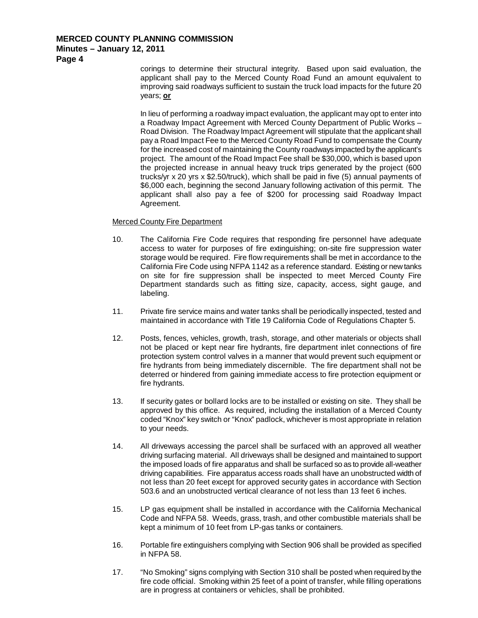## **Minutes – January 12, 2011**

**Page 4**

corings to determine their structural integrity. Based upon said evaluation, the applicant shall pay to the Merced County Road Fund an amount equivalent to improving said roadways sufficient to sustain the truck load impacts for the future 20 years; **or**

In lieu of performing a roadway impact evaluation, the applicant may opt to enter into a Roadway Impact Agreement with Merced County Department of Public Works – Road Division. The Roadway Impact Agreement will stipulate that the applicant shall pay a Road Impact Fee to the Merced County Road Fund to compensate the County for the increased cost of maintaining the County roadways impacted by the applicant's project. The amount of the Road Impact Fee shall be \$30,000, which is based upon the projected increase in annual heavy truck trips generated by the project (600 trucks/yr x 20 yrs x \$2.50/truck), which shall be paid in five (5) annual payments of \$6,000 each, beginning the second January following activation of this permit. The applicant shall also pay a fee of \$200 for processing said Roadway Impact Agreement.

## Merced County Fire Department

- 10. The California Fire Code requires that responding fire personnel have adequate access to water for purposes of fire extinguishing; on-site fire suppression water storage would be required. Fire flow requirements shall be met in accordance to the California Fire Code using NFPA 1142 as a reference standard. Existing or new tanks on site for fire suppression shall be inspected to meet Merced County Fire Department standards such as fitting size, capacity, access, sight gauge, and labeling.
- 11. Private fire service mains and water tanks shall be periodically inspected, tested and maintained in accordance with Title 19 California Code of Regulations Chapter 5.
- 12. Posts, fences, vehicles, growth, trash, storage, and other materials or objects shall not be placed or kept near fire hydrants, fire department inlet connections of fire protection system control valves in a manner that would prevent such equipment or fire hydrants from being immediately discernible. The fire department shall not be deterred or hindered from gaining immediate access to fire protection equipment or fire hydrants.
- 13. If security gates or bollard locks are to be installed or existing on site. They shall be approved by this office. As required, including the installation of a Merced County coded "Knox" key switch or "Knox" padlock, whichever is most appropriate in relation to your needs.
- 14. All driveways accessing the parcel shall be surfaced with an approved all weather driving surfacing material. All driveways shall be designed and maintained to support the imposed loads of fire apparatus and shall be surfaced so as to provide all-weather driving capabilities. Fire apparatus access roads shall have an unobstructed width of not less than 20 feet except for approved security gates in accordance with Section 503.6 and an unobstructed vertical clearance of not less than 13 feet 6 inches.
- 15. LP gas equipment shall be installed in accordance with the California Mechanical Code and NFPA 58. Weeds, grass, trash, and other combustible materials shall be kept a minimum of 10 feet from LP-gas tanks or containers.
- 16. Portable fire extinguishers complying with Section 906 shall be provided as specified in NFPA 58.
- 17. "No Smoking" signs complying with Section 310 shall be posted when required by the fire code official. Smoking within 25 feet of a point of transfer, while filling operations are in progress at containers or vehicles, shall be prohibited.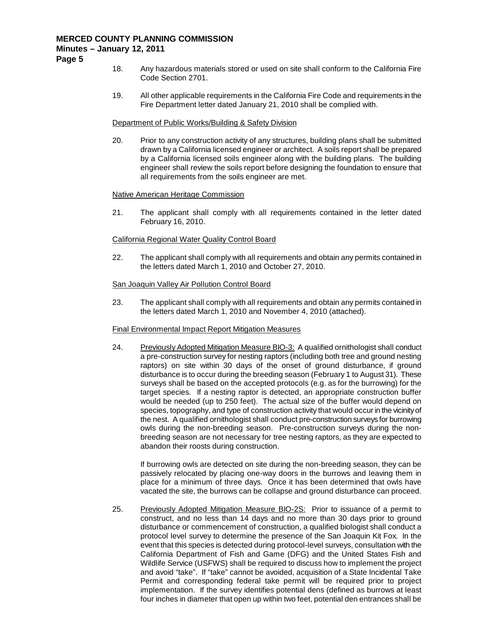**Page 5**

- 18. Any hazardous materials stored or used on site shall conform to the California Fire Code Section 2701.
- 19. All other applicable requirements in the California Fire Code and requirements in the Fire Department letter dated January 21, 2010 shall be complied with.

## Department of Public Works/Building & Safety Division

20. Prior to any construction activity of any structures, building plans shall be submitted drawn by a California licensed engineer or architect. A soils report shall be prepared by a California licensed soils engineer along with the building plans. The building engineer shall review the soils report before designing the foundation to ensure that all requirements from the soils engineer are met.

### Native American Heritage Commission

21. The applicant shall comply with all requirements contained in the letter dated February 16, 2010.

## California Regional Water Quality Control Board

22. The applicant shall comply with all requirements and obtain any permits contained in the letters dated March 1, 2010 and October 27, 2010.

### San Joaquin Valley Air Pollution Control Board

23. The applicant shall comply with all requirements and obtain any permits contained in the letters dated March 1, 2010 and November 4, 2010 (attached).

### Final Environmental Impact Report Mitigation Measures

24. Previously Adopted Mitigation Measure BIO-3: A qualified ornithologist shall conduct a pre-construction survey for nesting raptors (including both tree and ground nesting raptors) on site within 30 days of the onset of ground disturbance, if ground disturbance is to occur during the breeding season (February 1 to August 31). These surveys shall be based on the accepted protocols (e.g. as for the burrowing) for the target species. If a nesting raptor is detected, an appropriate construction buffer would be needed (up to 250 feet). The actual size of the buffer would depend on species, topography, and type of construction activity that would occur in the vicinity of the nest. A qualified ornithologist shall conduct pre-construction surveys for burrowing owls during the non-breeding season. Pre-construction surveys during the nonbreeding season are not necessary for tree nesting raptors, as they are expected to abandon their roosts during construction.

If burrowing owls are detected on site during the non-breeding season, they can be passively relocated by placing one-way doors in the burrows and leaving them in place for a minimum of three days. Once it has been determined that owls have vacated the site, the burrows can be collapse and ground disturbance can proceed.

25. Previously Adopted Mitigation Measure BIO-2S: Prior to issuance of a permit to construct, and no less than 14 days and no more than 30 days prior to ground disturbance or commencement of construction, a qualified biologist shall conduct a protocol level survey to determine the presence of the San Joaquin Kit Fox. In the event that this species is detected during protocol-level surveys, consultation with the California Department of Fish and Game (DFG) and the United States Fish and Wildlife Service (USFWS) shall be required to discuss how to implement the project and avoid "take". If "take" cannot be avoided, acquisition of a State Incidental Take Permit and corresponding federal take permit will be required prior to project implementation. If the survey identifies potential dens (defined as burrows at least four inches in diameter that open up within two feet, potential den entrances shall be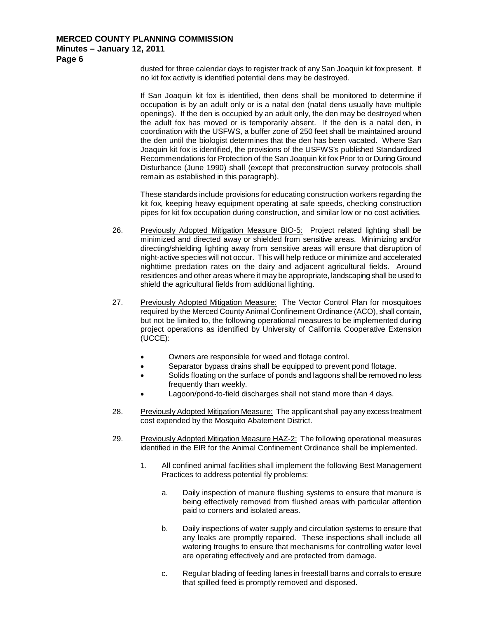## **Minutes – January 12, 2011**

**Page 6**

dusted for three calendar days to register track of any San Joaquin kit fox present. If no kit fox activity is identified potential dens may be destroyed.

If San Joaquin kit fox is identified, then dens shall be monitored to determine if occupation is by an adult only or is a natal den (natal dens usually have multiple openings). If the den is occupied by an adult only, the den may be destroyed when the adult fox has moved or is temporarily absent. If the den is a natal den, in coordination with the USFWS, a buffer zone of 250 feet shall be maintained around the den until the biologist determines that the den has been vacated. Where San Joaquin kit fox is identified, the provisions of the USFWS's published Standardized Recommendations for Protection of the San Joaquin kit fox Prior to or During Ground Disturbance (June 1990) shall (except that preconstruction survey protocols shall remain as established in this paragraph).

These standards include provisions for educating construction workers regarding the kit fox, keeping heavy equipment operating at safe speeds, checking construction pipes for kit fox occupation during construction, and similar low or no cost activities.

- 26. Previously Adopted Mitigation Measure BIO-5: Project related lighting shall be minimized and directed away or shielded from sensitive areas. Minimizing and/or directing/shielding lighting away from sensitive areas will ensure that disruption of night-active species will not occur. This will help reduce or minimize and accelerated nighttime predation rates on the dairy and adjacent agricultural fields. Around residences and other areas where it may be appropriate, landscaping shall be used to shield the agricultural fields from additional lighting.
- 27. Previously Adopted Mitigation Measure: The Vector Control Plan for mosquitoes required by the Merced County Animal Confinement Ordinance (ACO), shall contain, but not be limited to, the following operational measures to be implemented during project operations as identified by University of California Cooperative Extension (UCCE):
	- Owners are responsible for weed and flotage control.
	- Separator bypass drains shall be equipped to prevent pond flotage.
	- Solids floating on the surface of ponds and lagoons shall be removed no less frequently than weekly.
	- Lagoon/pond-to-field discharges shall not stand more than 4 days.
- 28. Previously Adopted Mitigation Measure: The applicant shall pay any excess treatment cost expended by the Mosquito Abatement District.
- 29. Previously Adopted Mitigation Measure HAZ-2: The following operational measures identified in the EIR for the Animal Confinement Ordinance shall be implemented.
	- 1. All confined animal facilities shall implement the following Best Management Practices to address potential fly problems:
		- a. Daily inspection of manure flushing systems to ensure that manure is being effectively removed from flushed areas with particular attention paid to corners and isolated areas.
		- b. Daily inspections of water supply and circulation systems to ensure that any leaks are promptly repaired. These inspections shall include all watering troughs to ensure that mechanisms for controlling water level are operating effectively and are protected from damage.
		- c. Regular blading of feeding lanes in freestall barns and corrals to ensure that spilled feed is promptly removed and disposed.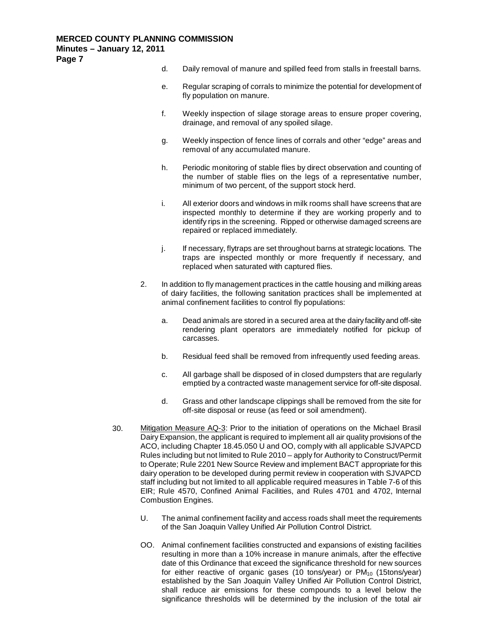**Page 7**

- d. Daily removal of manure and spilled feed from stalls in freestall barns.
- e. Regular scraping of corrals to minimize the potential for development of fly population on manure.
- f. Weekly inspection of silage storage areas to ensure proper covering, drainage, and removal of any spoiled silage.
- g. Weekly inspection of fence lines of corrals and other "edge" areas and removal of any accumulated manure.
- h. Periodic monitoring of stable flies by direct observation and counting of the number of stable flies on the legs of a representative number, minimum of two percent, of the support stock herd.
- i. All exterior doors and windows in milk rooms shall have screens that are inspected monthly to determine if they are working properly and to identify rips in the screening. Ripped or otherwise damaged screens are repaired or replaced immediately.
- j. If necessary, flytraps are set throughout barns at strategic locations. The traps are inspected monthly or more frequently if necessary, and replaced when saturated with captured flies.
- 2. In addition to fly management practices in the cattle housing and milking areas of dairy facilities, the following sanitation practices shall be implemented at animal confinement facilities to control fly populations:
	- a. Dead animals are stored in a secured area at the dairy facility and off-site rendering plant operators are immediately notified for pickup of carcasses.
	- b. Residual feed shall be removed from infrequently used feeding areas.
	- c. All garbage shall be disposed of in closed dumpsters that are regularly emptied by a contracted waste management service for off-site disposal.
	- d. Grass and other landscape clippings shall be removed from the site for off-site disposal or reuse (as feed or soil amendment).
- 30. Mitigation Measure AQ-3: Prior to the initiation of operations on the Michael Brasil Dairy Expansion, the applicant is required to implement all air quality provisions of the ACO, including Chapter 18.45.050 U and OO, comply with all applicable SJVAPCD Rules including but not limited to Rule 2010 – apply for Authority to Construct/Permit to Operate; Rule 2201 New Source Review and implement BACT appropriate for this dairy operation to be developed during permit review in cooperation with SJVAPCD staff including but not limited to all applicable required measures in Table 7-6 of this EIR; Rule 4570, Confined Animal Facilities, and Rules 4701 and 4702, Internal Combustion Engines.
	- U. The animal confinement facility and access roads shall meet the requirements of the San Joaquin Valley Unified Air Pollution Control District.
	- OO. Animal confinement facilities constructed and expansions of existing facilities resulting in more than a 10% increase in manure animals, after the effective date of this Ordinance that exceed the significance threshold for new sources for either reactive of organic gases (10 tons/year) or  $PM_{10}$  (15tons/year) established by the San Joaquin Valley Unified Air Pollution Control District, shall reduce air emissions for these compounds to a level below the significance thresholds will be determined by the inclusion of the total air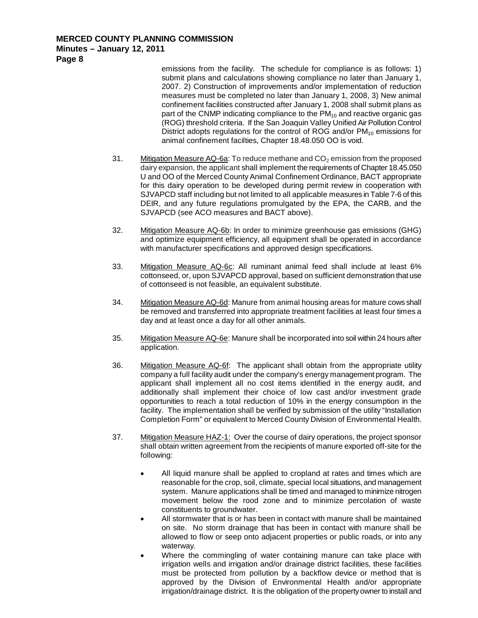emissions from the facility. The schedule for compliance is as follows: 1) submit plans and calculations showing compliance no later than January 1, 2007. 2) Construction of improvements and/or implementation of reduction measures must be completed no later than January 1, 2008, 3) New animal confinement facilities constructed after January 1, 2008 shall submit plans as part of the CNMP indicating compliance to the  $PM_{10}$  and reactive organic gas (ROG) threshold criteria. If the San Joaquin Valley Unified Air Pollution Control District adopts regulations for the control of ROG and/or  $PM_{10}$  emissions for animal confinement facilties, Chapter 18.48.050 OO is void.

- 31. Mitigation Measure AQ-6a: To reduce methane and  $CO<sub>2</sub>$  emission from the proposed dairy expansion, the applicant shall implement the requirements of Chapter 18.45.050 U and OO of the Merced County Animal Confinement Ordinance, BACT appropriate for this dairy operation to be developed during permit review in cooperation with SJVAPCD staff including but not limited to all applicable measures in Table 7-6 of this DEIR, and any future regulations promulgated by the EPA, the CARB, and the SJVAPCD (see ACO measures and BACT above).
- 32. Mitigation Measure AQ-6b: In order to minimize greenhouse gas emissions (GHG) and optimize equipment efficiency, all equipment shall be operated in accordance with manufacturer specifications and approved design specifications.
- 33. Mitigation Measure AQ-6c: All ruminant animal feed shall include at least 6% cottonseed, or, upon SJVAPCD approval, based on sufficient demonstration that use of cottonseed is not feasible, an equivalent substitute.
- 34. Mitigation Measure AQ-6d: Manure from animal housing areas for mature cows shall be removed and transferred into appropriate treatment facilities at least four times a day and at least once a day for all other animals.
- 35. Mitigation Measure AQ-6e: Manure shall be incorporated into soil within 24 hours after application.
- 36. Mitigation Measure AQ-6f: The applicant shall obtain from the appropriate utility company a full facility audit under the company's energy management program. The applicant shall implement all no cost items identified in the energy audit, and additionally shall implement their choice of low cast and/or investment grade opportunities to reach a total reduction of 10% in the energy consumption in the facility. The implementation shall be verified by submission of the utility "Installation Completion Form" or equivalent to Merced County Division of Environmental Health.
- 37. Mitigation Measure HAZ-1: Over the course of dairy operations, the project sponsor shall obtain written agreement from the recipients of manure exported off-site for the following:
	- All liquid manure shall be applied to cropland at rates and times which are reasonable for the crop, soil, climate, special local situations, and management system. Manure applications shall be timed and managed to minimize nitrogen movement below the rood zone and to minimize percolation of waste constituents to groundwater.
	- All stormwater that is or has been in contact with manure shall be maintained on site. No storm drainage that has been in contact with manure shall be allowed to flow or seep onto adjacent properties or public roads, or into any waterway.
	- Where the commingling of water containing manure can take place with irrigation wells and irrigation and/or drainage district facilities, these facilities must be protected from pollution by a backflow device or method that is approved by the Division of Environmental Health and/or appropriate irrigation/drainage district. It is the obligation of the property owner to install and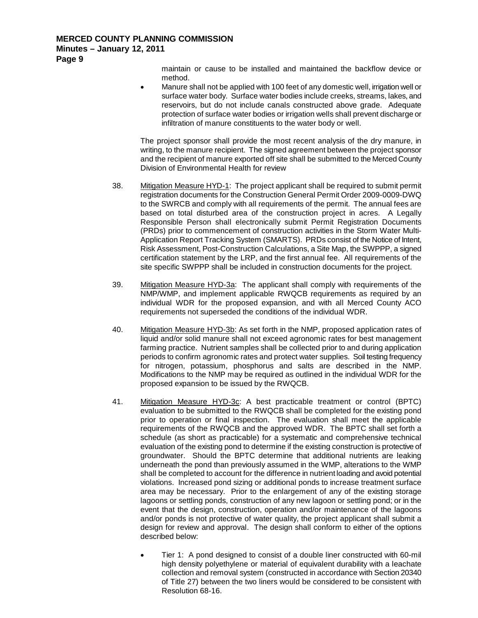maintain or cause to be installed and maintained the backflow device or method.

• Manure shall not be applied with 100 feet of any domestic well, irrigation well or surface water body. Surface water bodies include creeks, streams, lakes, and reservoirs, but do not include canals constructed above grade. Adequate protection of surface water bodies or irrigation wells shall prevent discharge or infiltration of manure constituents to the water body or well.

The project sponsor shall provide the most recent analysis of the dry manure, in writing, to the manure recipient. The signed agreement between the project sponsor and the recipient of manure exported off site shall be submitted to the Merced County Division of Environmental Health for review

- 38. Mitigation Measure HYD-1: The project applicant shall be required to submit permit registration documents for the Construction General Permit Order 2009-0009-DWQ to the SWRCB and comply with all requirements of the permit. The annual fees are based on total disturbed area of the construction project in acres. A Legally Responsible Person shall electronically submit Permit Registration Documents (PRDs) prior to commencement of construction activities in the Storm Water Multi-Application Report Tracking System (SMARTS). PRDs consist of the Notice of Intent, Risk Assessment, Post-Construction Calculations, a Site Map, the SWPPP, a signed certification statement by the LRP, and the first annual fee. All requirements of the site specific SWPPP shall be included in construction documents for the project.
- 39. Mitigation Measure HYD-3a: The applicant shall comply with requirements of the NMP/WMP, and implement applicable RWQCB requirements as required by an individual WDR for the proposed expansion, and with all Merced County ACO requirements not superseded the conditions of the individual WDR.
- 40. Mitigation Measure HYD-3b: As set forth in the NMP, proposed application rates of liquid and/or solid manure shall not exceed agronomic rates for best management farming practice. Nutrient samples shall be collected prior to and during application periods to confirm agronomic rates and protect water supplies. Soil testing frequency for nitrogen, potassium, phosphorus and salts are described in the NMP. Modifications to the NMP may be required as outlined in the individual WDR for the proposed expansion to be issued by the RWQCB.
- 41. Mitigation Measure HYD-3c: A best practicable treatment or control (BPTC) evaluation to be submitted to the RWQCB shall be completed for the existing pond prior to operation or final inspection. The evaluation shall meet the applicable requirements of the RWQCB and the approved WDR. The BPTC shall set forth a schedule (as short as practicable) for a systematic and comprehensive technical evaluation of the existing pond to determine if the existing construction is protective of groundwater. Should the BPTC determine that additional nutrients are leaking underneath the pond than previously assumed in the WMP, alterations to the WMP shall be completed to account for the difference in nutrient loading and avoid potential violations. Increased pond sizing or additional ponds to increase treatment surface area may be necessary. Prior to the enlargement of any of the existing storage lagoons or settling ponds, construction of any new lagoon or settling pond; or in the event that the design, construction, operation and/or maintenance of the lagoons and/or ponds is not protective of water quality, the project applicant shall submit a design for review and approval. The design shall conform to either of the options described below:
	- Tier 1: A pond designed to consist of a double liner constructed with 60-mil high density polyethylene or material of equivalent durability with a leachate collection and removal system (constructed in accordance with Section 20340 of Title 27) between the two liners would be considered to be consistent with Resolution 68-16.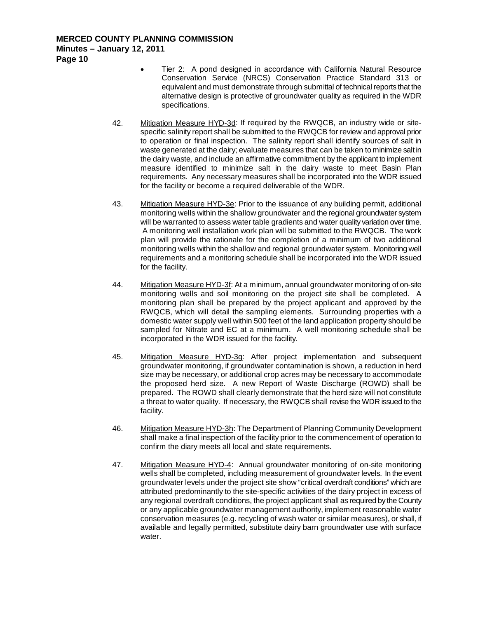- Tier 2: A pond designed in accordance with California Natural Resource Conservation Service (NRCS) Conservation Practice Standard 313 or equivalent and must demonstrate through submittal of technical reports that the alternative design is protective of groundwater quality as required in the WDR specifications.
- 42. Mitigation Measure HYD-3d: If required by the RWQCB, an industry wide or sitespecific salinity report shall be submitted to the RWQCB for review and approval prior to operation or final inspection. The salinity report shall identify sources of salt in waste generated at the dairy; evaluate measures that can be taken to minimize salt in the dairy waste, and include an affirmative commitment by the applicant to implement measure identified to minimize salt in the dairy waste to meet Basin Plan requirements. Any necessary measures shall be incorporated into the WDR issued for the facility or become a required deliverable of the WDR.
- 43. Mitigation Measure HYD-3e: Prior to the issuance of any building permit, additional monitoring wells within the shallow groundwater and the regional groundwater system will be warranted to assess water table gradients and water quality variation over time. A monitoring well installation work plan will be submitted to the RWQCB. The work plan will provide the rationale for the completion of a minimum of two additional monitoring wells within the shallow and regional groundwater system. Monitoring well requirements and a monitoring schedule shall be incorporated into the WDR issued for the facility.
- 44. Mitigation Measure HYD-3f: At a minimum, annual groundwater monitoring of on-site monitoring wells and soil monitoring on the project site shall be completed. A monitoring plan shall be prepared by the project applicant and approved by the RWQCB, which will detail the sampling elements. Surrounding properties with a domestic water supply well within 500 feet of the land application property should be sampled for Nitrate and EC at a minimum. A well monitoring schedule shall be incorporated in the WDR issued for the facility.
- 45. Mitigation Measure HYD-3g: After project implementation and subsequent groundwater monitoring, if groundwater contamination is shown, a reduction in herd size may be necessary, or additional crop acres may be necessary to accommodate the proposed herd size. A new Report of Waste Discharge (ROWD) shall be prepared. The ROWD shall clearly demonstrate that the herd size will not constitute a threat to water quality. If necessary, the RWQCB shall revise the WDR issued to the facility.
- 46. Mitigation Measure HYD-3h: The Department of Planning Community Development shall make a final inspection of the facility prior to the commencement of operation to confirm the diary meets all local and state requirements.
- 47. Mitigation Measure HYD-4: Annual groundwater monitoring of on-site monitoring wells shall be completed, including measurement of groundwater levels. In the event groundwater levels under the project site show "critical overdraft conditions" which are attributed predominantly to the site-specific activities of the dairy project in excess of any regional overdraft conditions, the project applicant shall as required by the County or any applicable groundwater management authority, implement reasonable water conservation measures (e.g. recycling of wash water or similar measures), or shall, if available and legally permitted, substitute dairy barn groundwater use with surface water.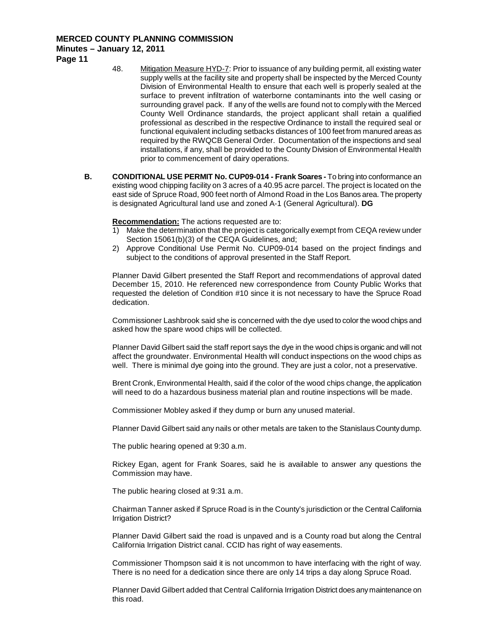## **Minutes – January 12, 2011**

**Page 11**

- 48. Mitigation Measure HYD-7: Prior to issuance of any building permit, all existing water supply wells at the facility site and property shall be inspected by the Merced County Division of Environmental Health to ensure that each well is properly sealed at the surface to prevent infiltration of waterborne contaminants into the well casing or surrounding gravel pack. If any of the wells are found not to comply with the Merced County Well Ordinance standards, the project applicant shall retain a qualified professional as described in the respective Ordinance to install the required seal or functional equivalent including setbacks distances of 100 feet from manured areas as required by the RWQCB General Order. Documentation of the inspections and seal installations, if any, shall be provided to the County Division of Environmental Health prior to commencement of dairy operations.
- **B. CONDITIONAL USE PERMIT No. CUP09-014 - Frank Soares -** To bring into conformance an existing wood chipping facility on 3 acres of a 40.95 acre parcel. The project is located on the east side of Spruce Road, 900 feet north of Almond Road in the Los Banos area. The property is designated Agricultural land use and zoned A-1 (General Agricultural). **DG**

**Recommendation:** The actions requested are to:

- 1) Make the determination that the project is categorically exempt from CEQA review under Section 15061(b)(3) of the CEQA Guidelines, and;
- 2) Approve Conditional Use Permit No. CUP09-014 based on the project findings and subject to the conditions of approval presented in the Staff Report.

Planner David Gilbert presented the Staff Report and recommendations of approval dated December 15, 2010. He referenced new correspondence from County Public Works that requested the deletion of Condition #10 since it is not necessary to have the Spruce Road dedication.

Commissioner Lashbrook said she is concerned with the dye used to color the wood chips and asked how the spare wood chips will be collected.

Planner David Gilbert said the staff report says the dye in the wood chips is organic and will not affect the groundwater. Environmental Health will conduct inspections on the wood chips as well. There is minimal dye going into the ground. They are just a color, not a preservative.

Brent Cronk, Environmental Health, said if the color of the wood chips change, the application will need to do a hazardous business material plan and routine inspections will be made.

Commissioner Mobley asked if they dump or burn any unused material.

Planner David Gilbert said any nails or other metals are taken to the Stanislaus County dump.

The public hearing opened at 9:30 a.m.

Rickey Egan, agent for Frank Soares, said he is available to answer any questions the Commission may have.

The public hearing closed at 9:31 a.m.

Chairman Tanner asked if Spruce Road is in the County's jurisdiction or the Central California Irrigation District?

Planner David Gilbert said the road is unpaved and is a County road but along the Central California Irrigation District canal. CCID has right of way easements.

Commissioner Thompson said it is not uncommon to have interfacing with the right of way. There is no need for a dedication since there are only 14 trips a day along Spruce Road.

Planner David Gilbert added that Central California Irrigation District does any maintenance on this road.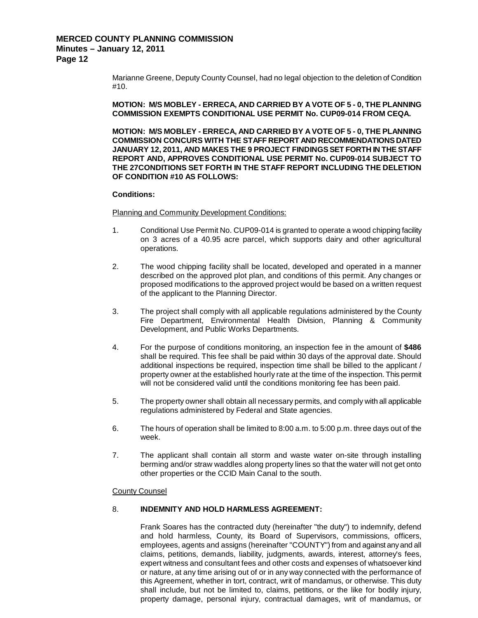Marianne Greene, Deputy County Counsel, had no legal objection to the deletion of Condition #10.

**MOTION: M/S MOBLEY - ERRECA, AND CARRIED BY A VOTE OF 5 - 0, THE PLANNING COMMISSION EXEMPTS CONDITIONAL USE PERMIT No. CUP09-014 FROM CEQA.**

**MOTION: M/S MOBLEY - ERRECA, AND CARRIED BY A VOTE OF 5 - 0, THE PLANNING COMMISSION CONCURS WITH THE STAFF REPORT AND RECOMMENDATIONS DATED JANUARY 12, 2011, AND MAKES THE 9 PROJECT FINDINGS SET FORTH IN THE STAFF REPORT AND, APPROVES CONDITIONAL USE PERMIT No. CUP09-014 SUBJECT TO THE 27CONDITIONS SET FORTH IN THE STAFF REPORT INCLUDING THE DELETION OF CONDITION #10 AS FOLLOWS:**

#### **Conditions:**

Planning and Community Development Conditions:

- 1. Conditional Use Permit No. CUP09-014 is granted to operate a wood chipping facility on 3 acres of a 40.95 acre parcel, which supports dairy and other agricultural operations.
- 2. The wood chipping facility shall be located, developed and operated in a manner described on the approved plot plan, and conditions of this permit. Any changes or proposed modifications to the approved project would be based on a written request of the applicant to the Planning Director.
- 3. The project shall comply with all applicable regulations administered by the County Fire Department, Environmental Health Division, Planning & Community Development, and Public Works Departments.
- 4. For the purpose of conditions monitoring, an inspection fee in the amount of **\$486** shall be required. This fee shall be paid within 30 days of the approval date. Should additional inspections be required, inspection time shall be billed to the applicant / property owner at the established hourly rate at the time of the inspection. This permit will not be considered valid until the conditions monitoring fee has been paid.
- 5. The property owner shall obtain all necessary permits, and comply with all applicable regulations administered by Federal and State agencies.
- 6. The hours of operation shall be limited to 8:00 a.m. to 5:00 p.m. three days out of the week.
- 7. The applicant shall contain all storm and waste water on-site through installing berming and/or straw waddles along property lines so that the water will not get onto other properties or the CCID Main Canal to the south.

#### County Counsel

### 8. **INDEMNITY AND HOLD HARMLESS AGREEMENT:**

Frank Soares has the contracted duty (hereinafter "the duty") to indemnify, defend and hold harmless, County, its Board of Supervisors, commissions, officers, employees, agents and assigns (hereinafter "COUNTY") from and against any and all claims, petitions, demands, liability, judgments, awards, interest, attorney's fees, expert witness and consultant fees and other costs and expenses of whatsoever kind or nature, at any time arising out of or in any way connected with the performance of this Agreement, whether in tort, contract, writ of mandamus, or otherwise. This duty shall include, but not be limited to, claims, petitions, or the like for bodily injury, property damage, personal injury, contractual damages, writ of mandamus, or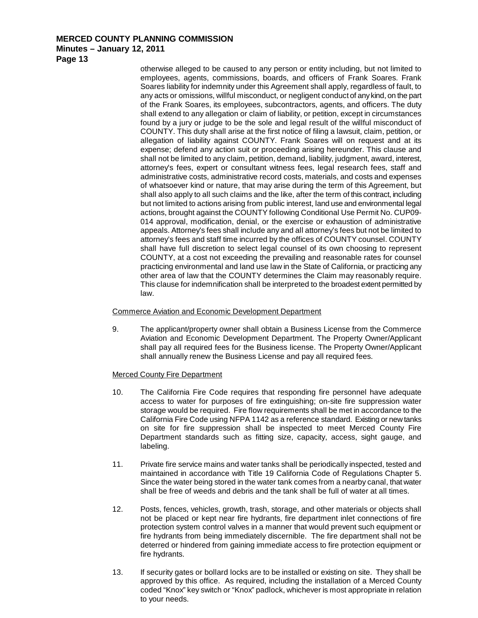**Minutes – January 12, 2011**

**Page 13**

otherwise alleged to be caused to any person or entity including, but not limited to employees, agents, commissions, boards, and officers of Frank Soares. Frank Soares liability for indemnity under this Agreement shall apply, regardless of fault, to any acts or omissions, willful misconduct, or negligent conduct of any kind, on the part of the Frank Soares, its employees, subcontractors, agents, and officers. The duty shall extend to any allegation or claim of liability, or petition, except in circumstances found by a jury or judge to be the sole and legal result of the willful misconduct of COUNTY. This duty shall arise at the first notice of filing a lawsuit, claim, petition, or allegation of liability against COUNTY. Frank Soares will on request and at its expense; defend any action suit or proceeding arising hereunder. This clause and shall not be limited to any claim, petition, demand, liability, judgment, award, interest, attorney's fees, expert or consultant witness fees, legal research fees, staff and administrative costs, administrative record costs, materials, and costs and expenses of whatsoever kind or nature, that may arise during the term of this Agreement, but shall also apply to all such claims and the like, after the term of this contract, including but not limited to actions arising from public interest, land use and environmental legal actions, brought against the COUNTY following Conditional Use Permit No. CUP09- 014 approval, modification, denial, or the exercise or exhaustion of administrative appeals. Attorney's fees shall include any and all attorney's fees but not be limited to attorney's fees and staff time incurred by the offices of COUNTY counsel. COUNTY shall have full discretion to select legal counsel of its own choosing to represent COUNTY, at a cost not exceeding the prevailing and reasonable rates for counsel practicing environmental and land use law in the State of California, or practicing any other area of law that the COUNTY determines the Claim may reasonably require. This clause for indemnification shall be interpreted to the broadest extent permitted by law.

## Commerce Aviation and Economic Development Department

9. The applicant/property owner shall obtain a Business License from the Commerce Aviation and Economic Development Department. The Property Owner/Applicant shall pay all required fees for the Business license. The Property Owner/Applicant shall annually renew the Business License and pay all required fees.

## Merced County Fire Department

- 10. The California Fire Code requires that responding fire personnel have adequate access to water for purposes of fire extinguishing; on-site fire suppression water storage would be required. Fire flow requirements shall be met in accordance to the California Fire Code using NFPA 1142 as a reference standard. Existing or new tanks on site for fire suppression shall be inspected to meet Merced County Fire Department standards such as fitting size, capacity, access, sight gauge, and labeling.
- 11. Private fire service mains and water tanks shall be periodically inspected, tested and maintained in accordance with Title 19 California Code of Regulations Chapter 5. Since the water being stored in the water tank comes from a nearby canal, that water shall be free of weeds and debris and the tank shall be full of water at all times.
- 12. Posts, fences, vehicles, growth, trash, storage, and other materials or objects shall not be placed or kept near fire hydrants, fire department inlet connections of fire protection system control valves in a manner that would prevent such equipment or fire hydrants from being immediately discernible. The fire department shall not be deterred or hindered from gaining immediate access to fire protection equipment or fire hydrants.
- 13. If security gates or bollard locks are to be installed or existing on site. They shall be approved by this office. As required, including the installation of a Merced County coded "Knox" key switch or "Knox" padlock, whichever is most appropriate in relation to your needs.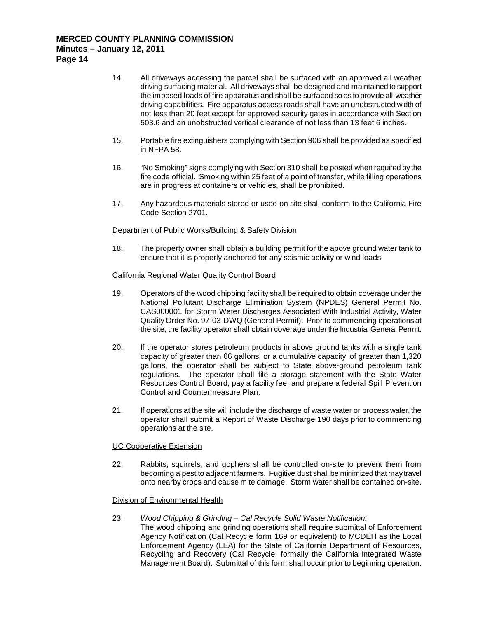- 14. All driveways accessing the parcel shall be surfaced with an approved all weather driving surfacing material. All driveways shall be designed and maintained to support the imposed loads of fire apparatus and shall be surfaced so as to provide all-weather driving capabilities. Fire apparatus access roads shall have an unobstructed width of not less than 20 feet except for approved security gates in accordance with Section 503.6 and an unobstructed vertical clearance of not less than 13 feet 6 inches.
- 15. Portable fire extinguishers complying with Section 906 shall be provided as specified in NFPA 58.
- 16. "No Smoking" signs complying with Section 310 shall be posted when required by the fire code official. Smoking within 25 feet of a point of transfer, while filling operations are in progress at containers or vehicles, shall be prohibited.
- 17. Any hazardous materials stored or used on site shall conform to the California Fire Code Section 2701.

## Department of Public Works/Building & Safety Division

18. The property owner shall obtain a building permit for the above ground water tank to ensure that it is properly anchored for any seismic activity or wind loads.

### California Regional Water Quality Control Board

- 19. Operators of the wood chipping facility shall be required to obtain coverage under the National Pollutant Discharge Elimination System (NPDES) General Permit No. CAS000001 for Storm Water Discharges Associated With Industrial Activity, Water Quality Order No. 97-03-DWQ (General Permit). Prior to commencing operations at the site, the facility operator shall obtain coverage under the Industrial General Permit.
- 20. If the operator stores petroleum products in above ground tanks with a single tank capacity of greater than 66 gallons, or a cumulative capacity of greater than 1,320 gallons, the operator shall be subject to State above-ground petroleum tank regulations. The operator shall file a storage statement with the State Water Resources Control Board, pay a facility fee, and prepare a federal Spill Prevention Control and Countermeasure Plan.
- 21. If operations at the site will include the discharge of waste water or process water, the operator shall submit a Report of Waste Discharge 190 days prior to commencing operations at the site.

### UC Cooperative Extension

22. Rabbits, squirrels, and gophers shall be controlled on-site to prevent them from becoming a pest to adjacent farmers. Fugitive dust shall be minimized that may travel onto nearby crops and cause mite damage. Storm water shall be contained on-site.

### Division of Environmental Health

- 23. *Wood Chipping & Grinding – Cal Recycle Solid Waste Notification:*
	- The wood chipping and grinding operations shall require submittal of Enforcement Agency Notification (Cal Recycle form 169 or equivalent) to MCDEH as the Local Enforcement Agency (LEA) for the State of California Department of Resources, Recycling and Recovery (Cal Recycle, formally the California Integrated Waste Management Board). Submittal of this form shall occur prior to beginning operation.